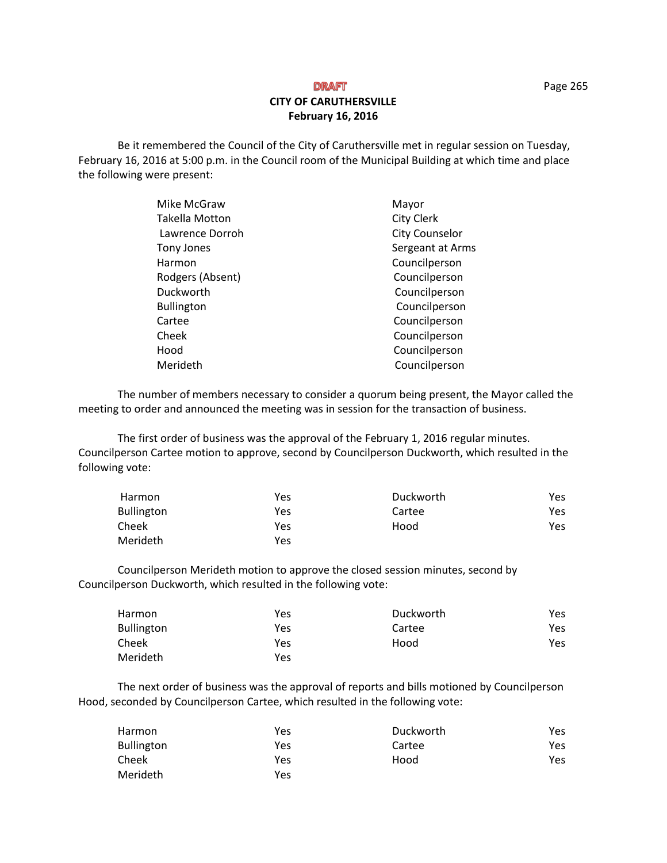## **DRAFT CITY OF CARUTHERSVILLE February 16, 2016**

Be it remembered the Council of the City of Caruthersville met in regular session on Tuesday, February 16, 2016 at 5:00 p.m. in the Council room of the Municipal Building at which time and place the following were present:

| Mike McGraw       | Mayor             |
|-------------------|-------------------|
| Takella Motton    | <b>City Clerk</b> |
| Lawrence Dorroh   | City Counselor    |
| Tony Jones        | Sergeant at Arms  |
| Harmon            | Councilperson     |
| Rodgers (Absent)  | Councilperson     |
| Duckworth         | Councilperson     |
| <b>Bullington</b> | Councilperson     |
| Cartee            | Councilperson     |
| Cheek             | Councilperson     |
| Hood              | Councilperson     |
| Merideth          | Councilperson     |

The number of members necessary to consider a quorum being present, the Mayor called the meeting to order and announced the meeting was in session for the transaction of business.

The first order of business was the approval of the February 1, 2016 regular minutes. Councilperson Cartee motion to approve, second by Councilperson Duckworth, which resulted in the following vote:

| Harmon            | Yes | Duckworth | Yes |
|-------------------|-----|-----------|-----|
| <b>Bullington</b> | Yes | Cartee    | Yes |
| Cheek             | Yes | Hood      | Yes |
| Merideth          | Yes |           |     |

 Councilperson Merideth motion to approve the closed session minutes, second by Councilperson Duckworth, which resulted in the following vote:

| Harmon            | Yes | Duckworth | Yes |
|-------------------|-----|-----------|-----|
| <b>Bullington</b> | Yes | Cartee    | Yes |
| Cheek             | Yes | Hood      | Yes |
| Merideth          | Yes |           |     |

The next order of business was the approval of reports and bills motioned by Councilperson Hood, seconded by Councilperson Cartee, which resulted in the following vote:

| Harmon            | Yes | Duckworth | Yes |
|-------------------|-----|-----------|-----|
| <b>Bullington</b> | Yes | Cartee    | Yes |
| Cheek             | Yes | Hood      | Yes |
| Merideth          | Yes |           |     |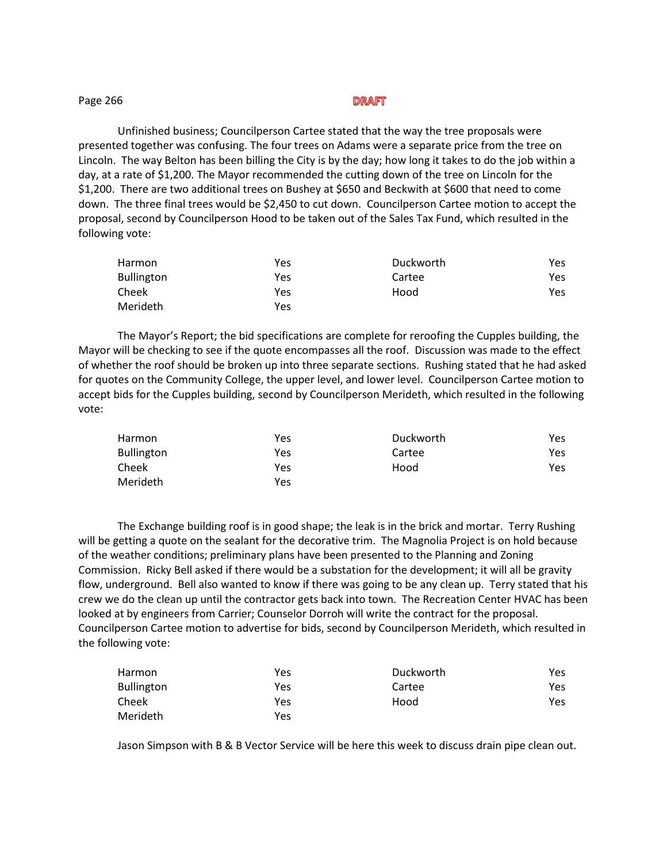| Page 266 | DRAFT |  |
|----------|-------|--|
|          |       |  |

Unfinished business; Councilperson Cartee stated that the way the tree proposals were presented together was confusing. The four trees on Adams were a separate price from the tree on Lincoln. The way Belton has been billing the City is by the day; how long it takes to do the job within a day, at a rate of \$1,200. The Mayor recommended the cutting down of the tree on Lincoln for the \$1,200. There are two additional trees on Bushey at \$650 and Beckwith at \$600 that need to come down. The three final trees would be \$2,450 to cut down. Councilperson Cartee motion to accept the proposal, second by Councilperson Hood to be taken out of the Sales Tax Fund, which resulted in the following vote:

| Harmon            | Yes | Duckworth | Yes |
|-------------------|-----|-----------|-----|
| <b>Bullington</b> | Yes | Cartee    | Yes |
| Cheek             | Yes | Hood      | Yes |
| <b>Merideth</b>   | Yes |           |     |

The Mayor's Report; the bid specifications are complete for reroofing the Cupples building, the Mayor will be checking to see if the quote encompasses all the roof. Discussion was made to the effect of whether the roof should be broken up into three separate sections. Rushing stated that he had asked for quotes on the Community College, the upper level, and lower level. Councilperson Cartee motion to accept bids for the Cupples building, second by Councilperson Merideth, which resulted in the following vote:

| Harmon            | Yes | Duckworth | Yes |
|-------------------|-----|-----------|-----|
| <b>Bullington</b> | Yes | Cartee    | Yes |
| Cheek             | Yes | Hood      | Yes |
| Merideth          | Yes |           |     |

 The Exchange building roof is in good shape; the leak is in the brick and mortar. Terry Rushing will be getting a quote on the sealant for the decorative trim. The Magnolia Project is on hold because of the weather conditions; preliminary plans have been presented to the Planning and Zoning Commission. Ricky Bell asked if there would be a substation for the development; it will all be gravity flow, underground. Bell also wanted to know if there was going to be any clean up. Terry stated that his crew we do the clean up until the contractor gets back into town. The Recreation Center HVAC has been looked at by engineers from Carrier; Counselor Dorroh will write the contract for the proposal. Councilperson Cartee motion to advertise for bids, second by Councilperson Merideth, which resulted in the following vote:

| Harmon            | Yes | Duckworth | Yes |
|-------------------|-----|-----------|-----|
| <b>Bullington</b> | Yes | Cartee    | Yes |
| Cheek             | Yes | Hood      | Yes |
| Merideth          | Yes |           |     |

Jason Simpson with B & B Vector Service will be here this week to discuss drain pipe clean out.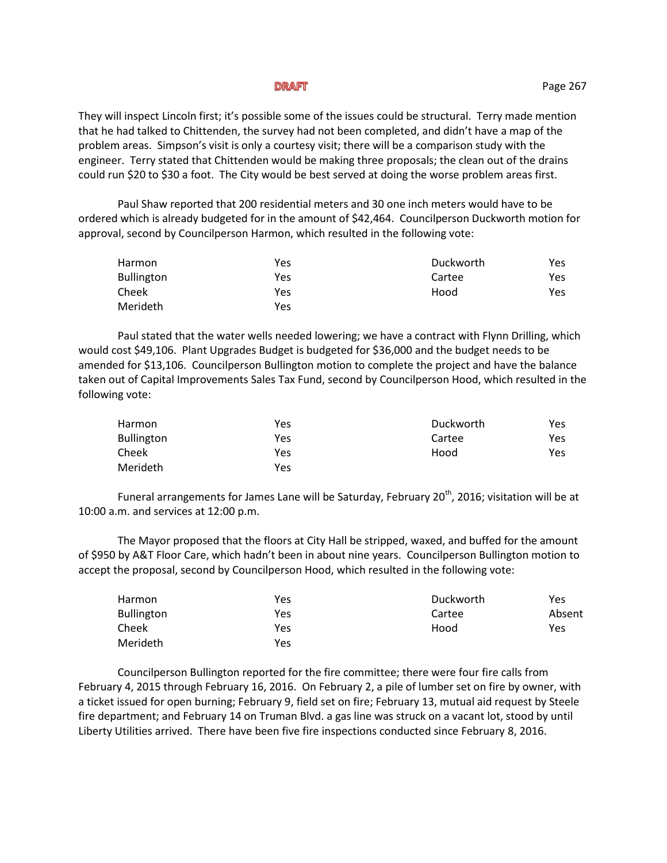## **DRAFT**

They will inspect Lincoln first; it's possible some of the issues could be structural. Terry made mention that he had talked to Chittenden, the survey had not been completed, and didn't have a map of the problem areas. Simpson's visit is only a courtesy visit; there will be a comparison study with the engineer. Terry stated that Chittenden would be making three proposals; the clean out of the drains could run \$20 to \$30 a foot. The City would be best served at doing the worse problem areas first.

Paul Shaw reported that 200 residential meters and 30 one inch meters would have to be ordered which is already budgeted for in the amount of \$42,464. Councilperson Duckworth motion for approval, second by Councilperson Harmon, which resulted in the following vote:

| Harmon            | Yes | Duckworth | Yes |
|-------------------|-----|-----------|-----|
| <b>Bullington</b> | Yes | Cartee    | Yes |
| Cheek             | Yes | Hood      | Yes |
| Merideth          | Yes |           |     |

Paul stated that the water wells needed lowering; we have a contract with Flynn Drilling, which would cost \$49,106. Plant Upgrades Budget is budgeted for \$36,000 and the budget needs to be amended for \$13,106. Councilperson Bullington motion to complete the project and have the balance taken out of Capital Improvements Sales Tax Fund, second by Councilperson Hood, which resulted in the following vote:

| Harmon            | Yes | Duckworth | Yes |
|-------------------|-----|-----------|-----|
| <b>Bullington</b> | Yes | Cartee    | Yes |
| Cheek             | Yes | Hood      | Yes |
| Merideth          | Yes |           |     |

Funeral arrangements for James Lane will be Saturday, February 20<sup>th</sup>, 2016; visitation will be at 10:00 a.m. and services at 12:00 p.m.

The Mayor proposed that the floors at City Hall be stripped, waxed, and buffed for the amount of \$950 by A&T Floor Care, which hadn't been in about nine years. Councilperson Bullington motion to accept the proposal, second by Councilperson Hood, which resulted in the following vote:

| Harmon            | Yes        | Duckworth | Yes    |
|-------------------|------------|-----------|--------|
| <b>Bullington</b> | <b>Yes</b> | Cartee    | Absent |
| Cheek             | Yes        | Hood      | Yes    |
| Merideth          | Yes        |           |        |

Councilperson Bullington reported for the fire committee; there were four fire calls from February 4, 2015 through February 16, 2016. On February 2, a pile of lumber set on fire by owner, with a ticket issued for open burning; February 9, field set on fire; February 13, mutual aid request by Steele fire department; and February 14 on Truman Blvd. a gas line was struck on a vacant lot, stood by until Liberty Utilities arrived. There have been five fire inspections conducted since February 8, 2016.